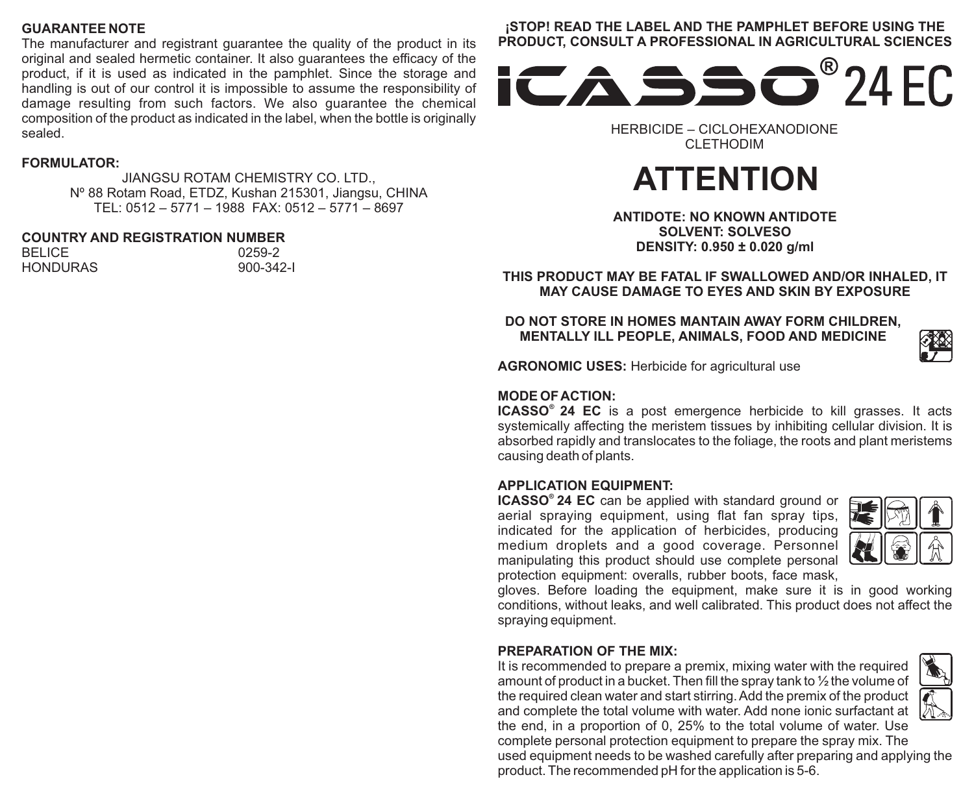#### **GUARANTEE NOTE**

The manufacturer and registrant guarantee the quality of the product in its original and sealed hermetic container. It also guarantees the efficacy of the product, if it is used as indicated in the pamphlet. Since the storage and handling is out of our control it is impossible to assume the responsibility of damage resulting from such factors. We also guarantee the chemical composition of the product as indicated in the label, when the bottle is originally sealed.

#### **FORMULATOR:**

JIANGSU ROTAM CHEMISTRY CO. LTD., Nº 88 Rotam Road, ETDZ, Kushan 215301, Jiangsu, CHINA TEL: 0512 – 5771 – 1988 FAX: 0512 – 5771 – 8697

### **COUNTRY AND REGISTRATION NUMBER**

BELICE 0259-2<br>HONDURAS 900-342-1 HONDLIRAS

## **¡STOP! READ THE LABEL AND THE PAMPHLET BEFORE USING THE**



HERBICIDE – CICLOHEXANODIONE CLETHODIM

# **ATTENTION**

**ANTIDOTE: NO KNOWN ANTIDOTE SOLVENT: SOLVESO DENSITY: 0.950 ± 0.020 g/ml**

**THIS PRODUCT MAY BE FATAL IF SWALLOWED AND/OR INHALED, IT MAY CAUSE DAMAGE TO EYES AND SKIN BY EXPOSURE**

**DO NOT STORE IN HOMES MANTAIN AWAY FORM CHILDREN, MENTALLY ILL PEOPLE, ANIMALS, FOOD AND MEDICINE**

**AGRONOMIC USES:** Herbicide for agricultural use

#### **MODE OF ACTION:**

**® ICASSO 24 EC** is a post emergence herbicide to kill grasses. It acts systemically affecting the meristem tissues by inhibiting cellular division. It is absorbed rapidly and translocates to the foliage, the roots and plant meristems causing death of plants.

#### **APPLICATION EQUIPMENT:**

**® ICASSO 24 EC** can be applied with standard ground or aerial spraying equipment, using flat fan spray tips, indicated for the application of herbicides, producing medium droplets and a good coverage. Personnel manipulating this product should use complete personal protection equipment: overalls, rubber boots, face mask,



gloves. Before loading the equipment, make sure it is in good working conditions, without leaks, and well calibrated. This product does not affect the spraying equipment.

#### **PREPARATION OF THE MIX:**

It is recommended to prepare a premix, mixing water with the required amount of product in a bucket. Then fill the spray tank to ½ the volume of the required clean water and start stirring. Add the premix of the product and complete the total volume with water. Add none ionic surfactant at the end, in a proportion of 0, 25% to the total volume of water. Use

complete personal protection equipment to prepare the spray mix. The used equipment needs to be washed carefully after preparing and applying the product. The recommended pH for the application is 5-6.